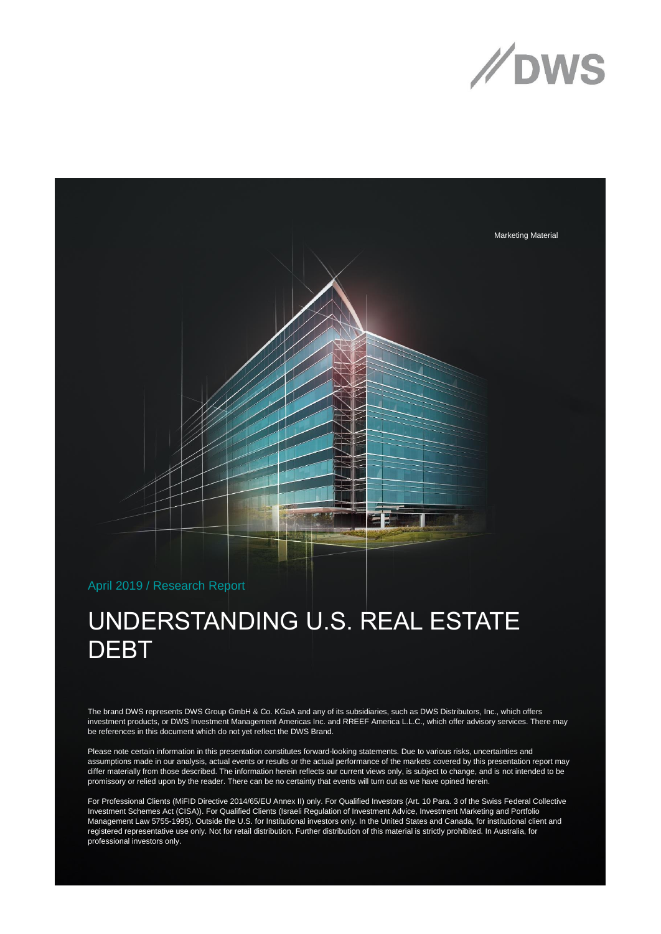



## April 2019 / Research Report

## UNDERSTANDING U.S. REAL ESTATE **DEBT**

The brand DWS represents DWS Group GmbH & Co. KGaA and any of its subsidiaries, such as DWS Distributors, Inc., which offers investment products, or DWS Investment Management Americas Inc. and RREEF America L.L.C., which offer advisory services. There may be references in this document which do not yet reflect the DWS Brand.

Please note certain information in this presentation constitutes forward-looking statements. Due to various risks, uncertainties and assumptions made in our analysis, actual events or results or the actual performance of the markets covered by this presentation report may differ materially from those described. The information herein reflects our current views only, is subject to change, and is not intended to be promissory or relied upon by the reader. There can be no certainty that events will turn out as we have opined herein.

For Professional Clients (MiFID Directive 2014/65/EU Annex II) only. For Qualified Investors (Art. 10 Para. 3 of the Swiss Federal Collective Investment Schemes Act (CISA)). For Qualified Clients (Israeli Regulation of Investment Advice, Investment Marketing and Portfolio Management Law 5755-1995). Outside the U.S. for Institutional investors only. In the United States and Canada, for institutional client and registered representative use only. Not for retail distribution. Further distribution of this material is strictly prohibited. In Australia, for professional investors only.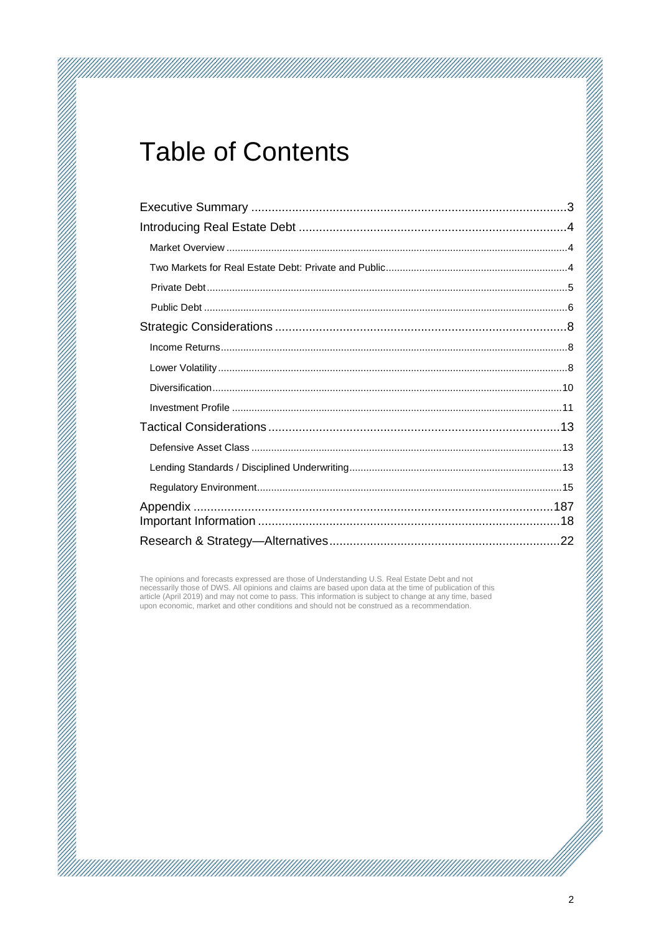## **Table of Contents**

The opinions and forecasts expressed are those of Understanding U.S. Real Estate Debt and not necessarily those of DWS. All opinions and claims are based upon data at the time of publication of this article (April 2019) and may not come to pass. This information is subject to change at any time, based<br>upon economic, market and other conditions and should not be construed as a recommendation.

a katalog katalog katalog katalog katalog katalog katalog katalog katalog katalog katalog katalog katalog katal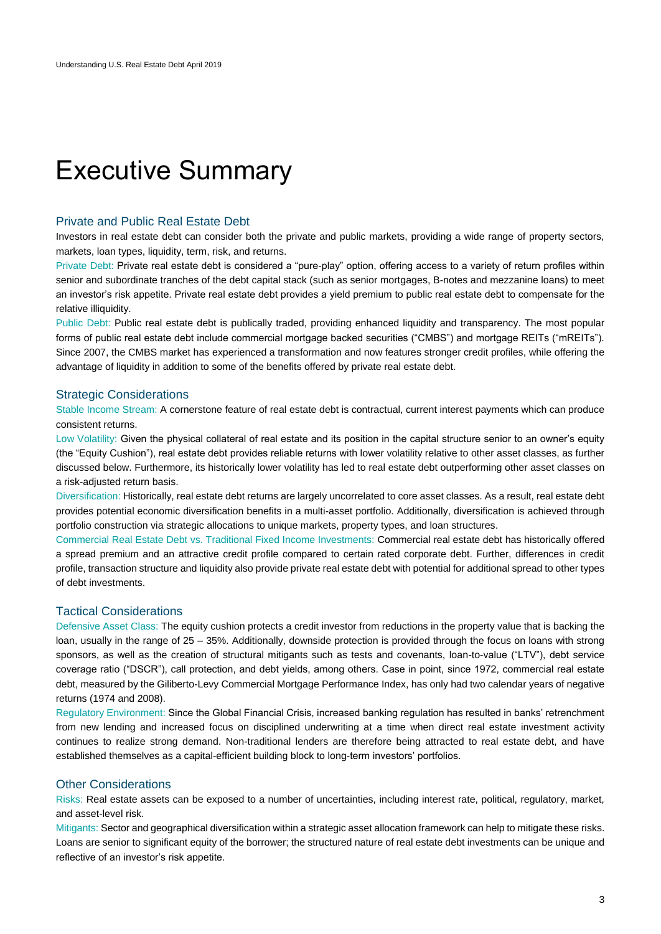## <span id="page-2-0"></span>Executive Summary

### Private and Public Real Estate Debt

Investors in real estate debt can consider both the private and public markets, providing a wide range of property sectors, markets, loan types, liquidity, term, risk, and returns.

Private Debt: Private real estate debt is considered a "pure-play" option, offering access to a variety of return profiles within senior and subordinate tranches of the debt capital stack (such as senior mortgages, B-notes and mezzanine loans) to meet an investor's risk appetite. Private real estate debt provides a yield premium to public real estate debt to compensate for the relative illiquidity.

Public Debt: Public real estate debt is publically traded, providing enhanced liquidity and transparency. The most popular forms of public real estate debt include commercial mortgage backed securities ("CMBS") and mortgage REITs ("mREITs"). Since 2007, the CMBS market has experienced a transformation and now features stronger credit profiles, while offering the advantage of liquidity in addition to some of the benefits offered by private real estate debt.

## Strategic Considerations

Stable Income Stream: A cornerstone feature of real estate debt is contractual, current interest payments which can produce consistent returns.

Low Volatility: Given the physical collateral of real estate and its position in the capital structure senior to an owner's equity (the "Equity Cushion"), real estate debt provides reliable returns with lower volatility relative to other asset classes, as further discussed below. Furthermore, its historically lower volatility has led to real estate debt outperforming other asset classes on a risk-adjusted return basis.

Diversification: Historically, real estate debt returns are largely uncorrelated to core asset classes. As a result, real estate debt provides potential economic diversification benefits in a multi-asset portfolio. Additionally, diversification is achieved through portfolio construction via strategic allocations to unique markets, property types, and loan structures.

Commercial Real Estate Debt vs. Traditional Fixed Income Investments: Commercial real estate debt has historically offered a spread premium and an attractive credit profile compared to certain rated corporate debt. Further, differences in credit profile, transaction structure and liquidity also provide private real estate debt with potential for additional spread to other types of debt investments.

## Tactical Considerations

Defensive Asset Class: The equity cushion protects a credit investor from reductions in the property value that is backing the loan, usually in the range of 25 – 35%. Additionally, downside protection is provided through the focus on loans with strong sponsors, as well as the creation of structural mitigants such as tests and covenants, loan-to-value ("LTV"), debt service coverage ratio ("DSCR"), call protection, and debt yields, among others. Case in point, since 1972, commercial real estate debt, measured by the Giliberto-Levy Commercial Mortgage Performance Index, has only had two calendar years of negative returns (1974 and 2008).

Regulatory Environment: Since the Global Financial Crisis, increased banking regulation has resulted in banks' retrenchment from new lending and increased focus on disciplined underwriting at a time when direct real estate investment activity continues to realize strong demand. Non-traditional lenders are therefore being attracted to real estate debt, and have established themselves as a capital-efficient building block to long-term investors' portfolios.

## Other Considerations

Risks: Real estate assets can be exposed to a number of uncertainties, including interest rate, political, regulatory, market, and asset-level risk.

Mitigants: Sector and geographical diversification within a strategic asset allocation framework can help to mitigate these risks. Loans are senior to significant equity of the borrower; the structured nature of real estate debt investments can be unique and reflective of an investor's risk appetite.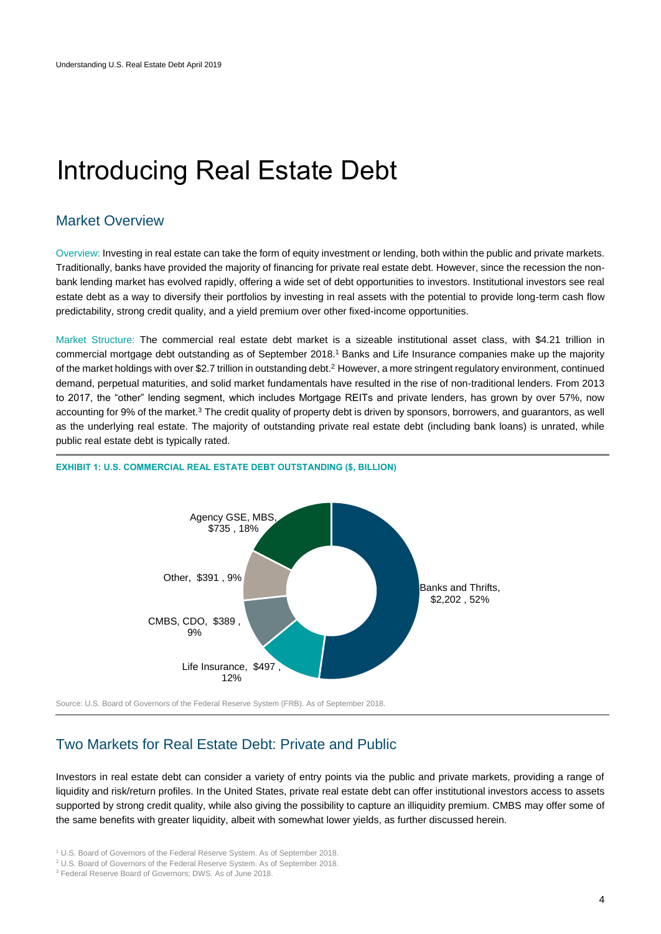## <span id="page-3-0"></span>Introducing Real Estate Debt

## <span id="page-3-1"></span>Market Overview

Overview: Investing in real estate can take the form of equity investment or lending, both within the public and private markets. Traditionally, banks have provided the majority of financing for private real estate debt. However, since the recession the nonbank lending market has evolved rapidly, offering a wide set of debt opportunities to investors. Institutional investors see real estate debt as a way to diversify their portfolios by investing in real assets with the potential to provide long-term cash flow predictability, strong credit quality, and a yield premium over other fixed-income opportunities.

Market Structure: The commercial real estate debt market is a sizeable institutional asset class, with \$4.21 trillion in commercial mortgage debt outstanding as of September 2018.<sup>1</sup> Banks and Life Insurance companies make up the majority of the market holdings with over \$2.7 trillion in outstanding debt.<sup>2</sup> However, a more stringent regulatory environment, continued demand, perpetual maturities, and solid market fundamentals have resulted in the rise of non-traditional lenders. From 2013 to 2017, the "other" lending segment, which includes Mortgage REITs and private lenders, has grown by over 57%, now accounting for 9% of the market.<sup>3</sup> The credit quality of property debt is driven by sponsors, borrowers, and guarantors, as well as the underlying real estate. The majority of outstanding private real estate debt (including bank loans) is unrated, while public real estate debt is typically rated.



### **EXHIBIT 1: U.S. COMMERCIAL REAL ESTATE DEBT OUTSTANDING (\$, BILLION)**

<span id="page-3-2"></span>Source: U.S. Board of Governors of the Federal Reserve System (FRB). As of September 2018.

## Two Markets for Real Estate Debt: Private and Public

Investors in real estate debt can consider a variety of entry points via the public and private markets, providing a range of liquidity and risk/return profiles. In the United States, private real estate debt can offer institutional investors access to assets supported by strong credit quality, while also giving the possibility to capture an illiquidity premium. CMBS may offer some of the same benefits with greater liquidity, albeit with somewhat lower yields, as further discussed herein.

<sup>1</sup> U.S. Board of Governors of the Federal Reserve System. As of September 2018.

<sup>2</sup> U.S. Board of Governors of the Federal Reserve System. As of September 2018.

<sup>3</sup> Federal Reserve Board of Governors; DWS. As of June 2018.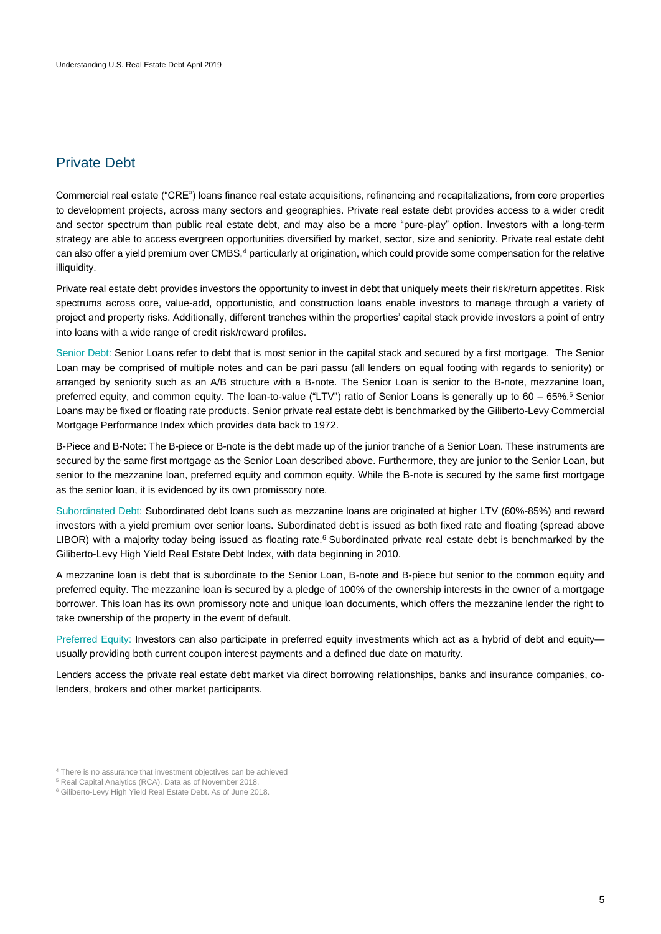## <span id="page-4-0"></span>Private Debt

Commercial real estate ("CRE") loans finance real estate acquisitions, refinancing and recapitalizations, from core properties to development projects, across many sectors and geographies. Private real estate debt provides access to a wider credit and sector spectrum than public real estate debt, and may also be a more "pure-play" option. Investors with a long-term strategy are able to access evergreen opportunities diversified by market, sector, size and seniority. Private real estate debt can also offer a yield premium over CMBS,<sup>4</sup> particularly at origination, which could provide some compensation for the relative illiquidity.

Private real estate debt provides investors the opportunity to invest in debt that uniquely meets their risk/return appetites. Risk spectrums across core, value-add, opportunistic, and construction loans enable investors to manage through a variety of project and property risks. Additionally, different tranches within the properties' capital stack provide investors a point of entry into loans with a wide range of credit risk/reward profiles.

Senior Debt: Senior Loans refer to debt that is most senior in the capital stack and secured by a first mortgage. The Senior Loan may be comprised of multiple notes and can be pari passu (all lenders on equal footing with regards to seniority) or arranged by seniority such as an A/B structure with a B-note. The Senior Loan is senior to the B-note, mezzanine loan, preferred equity, and common equity. The loan-to-value ("LTV") ratio of Senior Loans is generally up to 60 – 65%.<sup>5</sup> Senior Loans may be fixed or floating rate products. Senior private real estate debt is benchmarked by the Giliberto-Levy Commercial Mortgage Performance Index which provides data back to 1972.

B-Piece and B-Note: The B-piece or B-note is the debt made up of the junior tranche of a Senior Loan. These instruments are secured by the same first mortgage as the Senior Loan described above. Furthermore, they are junior to the Senior Loan, but senior to the mezzanine loan, preferred equity and common equity. While the B-note is secured by the same first mortgage as the senior loan, it is evidenced by its own promissory note.

Subordinated Debt: Subordinated debt loans such as mezzanine loans are originated at higher LTV (60%-85%) and reward investors with a yield premium over senior loans. Subordinated debt is issued as both fixed rate and floating (spread above LIBOR) with a majority today being issued as floating rate.<sup>6</sup> Subordinated private real estate debt is benchmarked by the Giliberto-Levy High Yield Real Estate Debt Index, with data beginning in 2010.

A mezzanine loan is debt that is subordinate to the Senior Loan, B-note and B-piece but senior to the common equity and preferred equity. The mezzanine loan is secured by a pledge of 100% of the ownership interests in the owner of a mortgage borrower. This loan has its own promissory note and unique loan documents, which offers the mezzanine lender the right to take ownership of the property in the event of default.

Preferred Equity: Investors can also participate in preferred equity investments which act as a hybrid of debt and equity usually providing both current coupon interest payments and a defined due date on maturity.

Lenders access the private real estate debt market via direct borrowing relationships, banks and insurance companies, colenders, brokers and other market participants.

<sup>4</sup> There is no assurance that investment objectives can be achieved

<sup>5</sup> Real Capital Analytics (RCA). Data as of November 2018.

<sup>6</sup> Giliberto-Levy High Yield Real Estate Debt. As of June 2018.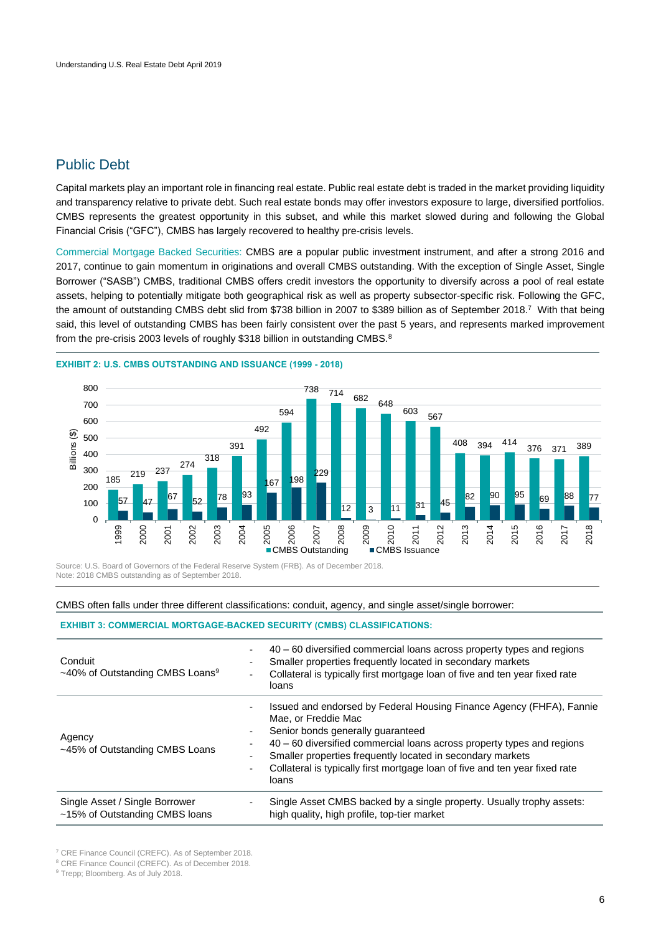## <span id="page-5-0"></span>Public Debt

Capital markets play an important role in financing real estate. Public real estate debt is traded in the market providing liquidity and transparency relative to private debt. Such real estate bonds may offer investors exposure to large, diversified portfolios. CMBS represents the greatest opportunity in this subset, and while this market slowed during and following the Global Financial Crisis ("GFC"), CMBS has largely recovered to healthy pre-crisis levels.

Commercial Mortgage Backed Securities: CMBS are a popular public investment instrument, and after a strong 2016 and 2017, continue to gain momentum in originations and overall CMBS outstanding. With the exception of Single Asset, Single Borrower ("SASB") CMBS, traditional CMBS offers credit investors the opportunity to diversify across a pool of real estate assets, helping to potentially mitigate both geographical risk as well as property subsector-specific risk. Following the GFC, the amount of outstanding CMBS debt slid from \$738 billion in 2007 to \$389 billion as of September 2018.<sup>7</sup> With that being said, this level of outstanding CMBS has been fairly consistent over the past 5 years, and represents marked improvement from the pre-crisis 2003 levels of roughly \$318 billion in outstanding CMBS.<sup>8</sup>



**EXHIBIT 2: U.S. CMBS OUTSTANDING AND ISSUANCE (1999 - 2018)**

Source: U.S. Board of Governors of the Federal Reserve System (FRB). As of December 2018. Note: 2018 CMBS outstanding as of September 2018.

### CMBS often falls under three different classifications: conduit, agency, and single asset/single borrower:

### **EXHIBIT 3: COMMERCIAL MORTGAGE-BACKED SECURITY (CMBS) CLASSIFICATIONS:**

| Conduit<br>~40% of Outstanding CMBS Loans <sup>9</sup>           | 40 – 60 diversified commercial loans across property types and regions<br>Smaller properties frequently located in secondary markets<br>Collateral is typically first mortgage loan of five and ten year fixed rate<br>loans                                                                                                                                     |
|------------------------------------------------------------------|------------------------------------------------------------------------------------------------------------------------------------------------------------------------------------------------------------------------------------------------------------------------------------------------------------------------------------------------------------------|
| Agency<br>~45% of Outstanding CMBS Loans                         | Issued and endorsed by Federal Housing Finance Agency (FHFA), Fannie<br>Mae, or Freddie Mac<br>Senior bonds generally quaranteed<br>40 - 60 diversified commercial loans across property types and regions<br>Smaller properties frequently located in secondary markets<br>Collateral is typically first mortgage loan of five and ten year fixed rate<br>loans |
| Single Asset / Single Borrower<br>~15% of Outstanding CMBS loans | Single Asset CMBS backed by a single property. Usually trophy assets:<br>high quality, high profile, top-tier market                                                                                                                                                                                                                                             |

<sup>7</sup> CRE Finance Council (CREFC). As of September 2018.

<sup>8</sup> CRE Finance Council (CREFC). As of December 2018.

<sup>&</sup>lt;sup>9</sup> Trepp; Bloomberg. As of July 2018.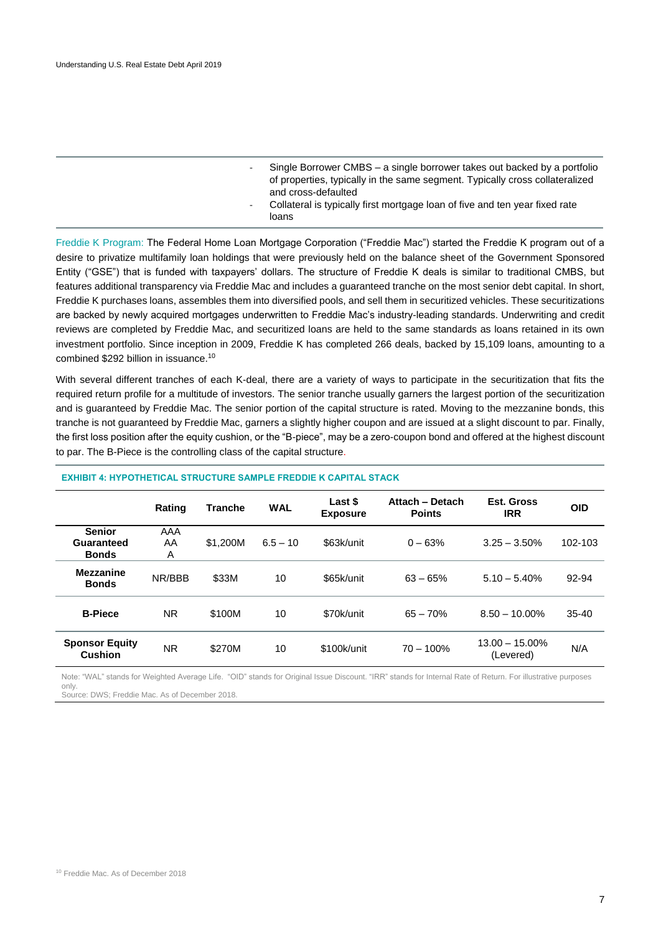- Single Borrower CMBS a single borrower takes out backed by a portfolio of properties, typically in the same segment. Typically cross collateralized and cross-defaulted
- Collateral is typically first mortgage loan of five and ten year fixed rate loans

Freddie K Program: The Federal Home Loan Mortgage Corporation ("Freddie Mac") started the Freddie K program out of a desire to privatize multifamily loan holdings that were previously held on the balance sheet of the Government Sponsored Entity ("GSE") that is funded with taxpayers' dollars. The structure of Freddie K deals is similar to traditional CMBS, but features additional transparency via Freddie Mac and includes a guaranteed tranche on the most senior debt capital. In short, Freddie K purchases loans, assembles them into diversified pools, and sell them in securitized vehicles. These securitizations are backed by newly acquired mortgages underwritten to Freddie Mac's industry-leading standards. Underwriting and credit reviews are completed by Freddie Mac, and securitized loans are held to the same standards as loans retained in its own investment portfolio. Since inception in 2009, Freddie K has completed 266 deals, backed by 15,109 loans, amounting to a combined \$292 billion in issuance.<sup>10</sup>

With several different tranches of each K-deal, there are a variety of ways to participate in the securitization that fits the required return profile for a multitude of investors. The senior tranche usually garners the largest portion of the securitization and is guaranteed by Freddie Mac. The senior portion of the capital structure is rated. Moving to the mezzanine bonds, this tranche is not guaranteed by Freddie Mac, garners a slightly higher coupon and are issued at a slight discount to par. Finally, the first loss position after the equity cushion, or the "B-piece", may be a zero-coupon bond and offered at the highest discount to par. The B-Piece is the controlling class of the capital structure.

|                                             | Rating         | <b>Tranche</b> | <b>WAL</b> | Last \$<br><b>Exposure</b> | Attach - Detach<br><b>Points</b> | Est. Gross<br><b>IRR</b>       | <b>OID</b> |
|---------------------------------------------|----------------|----------------|------------|----------------------------|----------------------------------|--------------------------------|------------|
| <b>Senior</b><br>Guaranteed<br><b>Bonds</b> | AAA<br>AA<br>A | \$1,200M       | $6.5 - 10$ | \$63k/unit                 | $0 - 63%$                        | $3.25 - 3.50\%$                | 102-103    |
| <b>Mezzanine</b><br><b>Bonds</b>            | NR/BBB         | \$33M          | 10         | \$65k/unit                 | $63 - 65%$                       | $5.10 - 5.40\%$                | 92-94      |
| <b>B-Piece</b>                              | <b>NR</b>      | \$100M         | 10         | \$70k/unit                 | $65 - 70%$                       | $8.50 - 10.00\%$               | $35 - 40$  |
| <b>Sponsor Equity</b><br><b>Cushion</b>     | <b>NR</b>      | \$270M         | 10         | \$100k/unit                | $70 - 100\%$                     | $13.00 - 15.00\%$<br>(Levered) | N/A        |

### **EXHIBIT 4: HYPOTHETICAL STRUCTURE SAMPLE FREDDIE K CAPITAL STACK**

Note: "WAL" stands for Weighted Average Life. "OID" stands for Original Issue Discount. "IRR" stands for Internal Rate of Return. For illustrative purposes only.

Source: DWS; Freddie Mac. As of December 2018.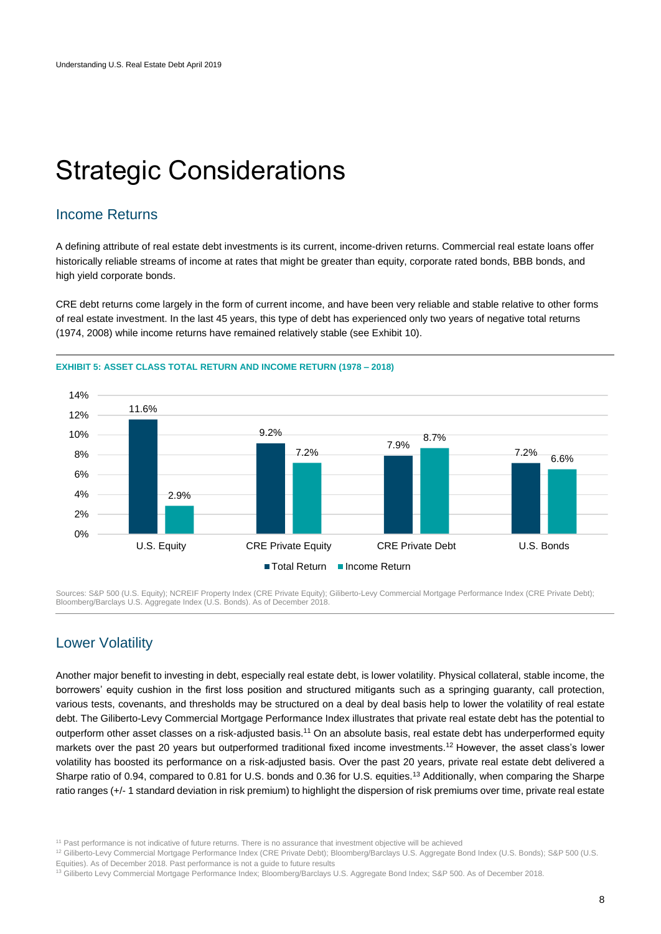## <span id="page-7-0"></span>Strategic Considerations

## <span id="page-7-1"></span>Income Returns

A defining attribute of real estate debt investments is its current, income-driven returns. Commercial real estate loans offer historically reliable streams of income at rates that might be greater than equity, corporate rated bonds, BBB bonds, and high yield corporate bonds.

CRE debt returns come largely in the form of current income, and have been very reliable and stable relative to other forms of real estate investment. In the last 45 years, this type of debt has experienced only two years of negative total returns (1974, 2008) while income returns have remained relatively stable (see Exhibit 10).



**EXHIBIT 5: ASSET CLASS TOTAL RETURN AND INCOME RETURN (1978 – 2018)**

Sources: S&P 500 (U.S. Equity); NCREIF Property Index (CRE Private Equity); Giliberto-Levy Commercial Mortgage Performance Index (CRE Private Debt); Bloomberg/Barclays U.S. Aggregate Index (U.S. Bonds). As of December 2018.

## <span id="page-7-2"></span>Lower Volatility

Another major benefit to investing in debt, especially real estate debt, is lower volatility. Physical collateral, stable income, the borrowers' equity cushion in the first loss position and structured mitigants such as a springing guaranty, call protection, various tests, covenants, and thresholds may be structured on a deal by deal basis help to lower the volatility of real estate debt. The Giliberto-Levy Commercial Mortgage Performance Index illustrates that private real estate debt has the potential to outperform other asset classes on a risk-adjusted basis.<sup>11</sup> On an absolute basis, real estate debt has underperformed equity markets over the past 20 years but outperformed traditional fixed income investments.<sup>12</sup> However, the asset class's lower volatility has boosted its performance on a risk-adjusted basis. Over the past 20 years, private real estate debt delivered a Sharpe ratio of 0.94, compared to 0.81 for U.S. bonds and 0.36 for U.S. equities.<sup>13</sup> Additionally, when comparing the Sharpe ratio ranges (+/- 1 standard deviation in risk premium) to highlight the dispersion of risk premiums over time, private real estate

<sup>11</sup> Past performance is not indicative of future returns. There is no assurance that investment objective will be achieved

<sup>12</sup> Giliberto-Levy Commercial Mortgage Performance Index (CRE Private Debt); Bloomberg/Barclays U.S. Aggregate Bond Index (U.S. Bonds); S&P 500 (U.S.

Equities). As of December 2018. Past performance is not a guide to future results

<sup>13</sup> Giliberto Levy Commercial Mortgage Performance Index; Bloomberg/Barclays U.S. Aggregate Bond Index; S&P 500. As of December 2018.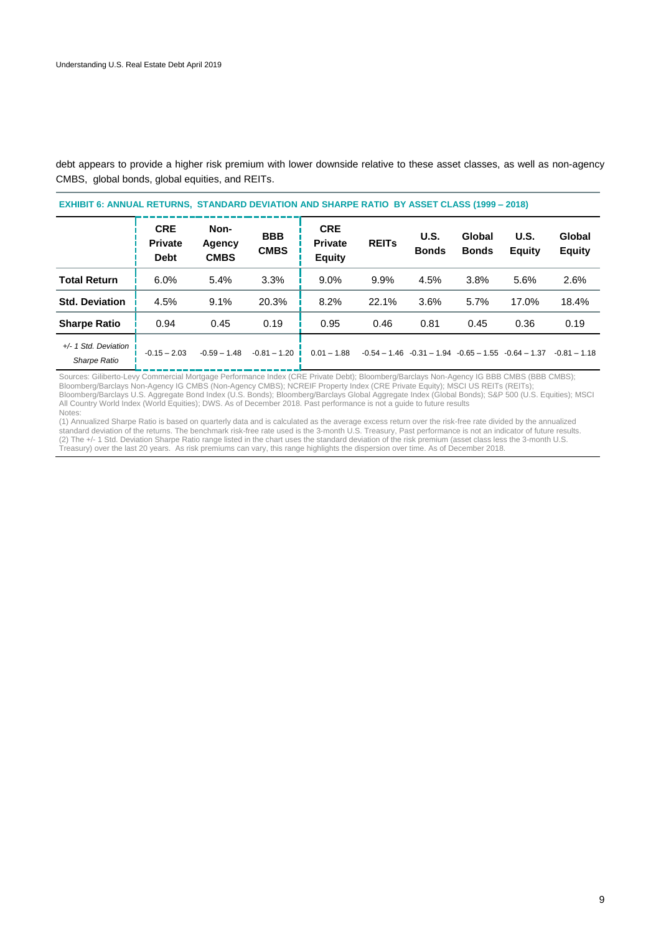debt appears to provide a higher risk premium with lower downside relative to these asset classes, as well as non-agency CMBS, global bonds, global equities, and REITs.

| <b>EXHIBIT 6: ANNUAL RETURNS, STANDARD DEVIATION AND SHARPE RATIO BY ASSET CLASS (1999 - 2018)</b> |                                             |                               |                           |                                               |              |                      |                        |                                                          |                         |  |
|----------------------------------------------------------------------------------------------------|---------------------------------------------|-------------------------------|---------------------------|-----------------------------------------------|--------------|----------------------|------------------------|----------------------------------------------------------|-------------------------|--|
|                                                                                                    | <b>CRE</b><br><b>Private</b><br><b>Debt</b> | Non-<br>Agency<br><b>CMBS</b> | <b>BBB</b><br><b>CMBS</b> | <b>CRE</b><br><b>Private</b><br><b>Equity</b> | <b>REITS</b> | U.S.<br><b>Bonds</b> | Global<br><b>Bonds</b> | <b>U.S.</b><br><b>Equity</b>                             | Global<br><b>Equity</b> |  |
| <b>Total Return</b>                                                                                | 6.0%                                        | 5.4%                          | 3.3%                      | $9.0\%$                                       | 9.9%         | 4.5%                 | 3.8%                   | 5.6%                                                     | 2.6%                    |  |
| <b>Std. Deviation</b>                                                                              | 4.5%                                        | 9.1%                          | 20.3%                     | 8.2%                                          | 22.1%        | 3.6%                 | 5.7%                   | 17.0%                                                    | 18.4%                   |  |
| <b>Sharpe Ratio</b>                                                                                | 0.94                                        | 0.45                          | 0.19                      | 0.95                                          | 0.46         | 0.81                 | 0.45                   | 0.36                                                     | 0.19                    |  |
| +/- 1 Std. Deviation<br><b>Sharpe Ratio</b>                                                        | $-0.15 - 2.03$                              | $-0.59 - 1.48$                | $-0.81 - 1.20$            | $0.01 - 1.88$                                 |              |                      |                        | $-0.54 - 1.46 - 0.31 - 1.94 - 0.65 - 1.55 - 0.64 - 1.37$ | $-0.81 - 1.18$          |  |

Sources: Giliberto-Levy Commercial Mortgage Performance Index (CRE Private Debt); Bloomberg/Barclays Non-Agency IG BBB CMBS (BBB CMBS); Bloomberg/Barclays Non-Agency IG CMBS (Non-Agency CMBS); NCREIF Property Index (CRE Private Equity); MSCI US REITs (REITs); Bloomberg/Barclays U.S. Aggregate Bond Index (U.S. Bonds); Bloomberg/Barclays Global Aggregate Index (Global Bonds); S&P 500 (U.S. Equities); MSCI All Country World Index (World Equities); DWS. As of December 2018. Past performance is not a guide to future results Notes:

<span id="page-8-0"></span>(1) Annualized Sharpe Ratio is based on quarterly data and is calculated as the average excess return over the risk-free rate divided by the annualized standard deviation of the returns. The benchmark risk-free rate used is the 3-month U.S. Treasury, Past performance is not an indicator of future results. (2) The +/- 1 Std. Deviation Sharpe Ratio range listed in the chart uses the standard deviation of the risk premium (asset class less the 3-month U.S. Treasury) over the last 20 years. As risk premiums can vary, this range highlights the dispersion over time. As of December 2018.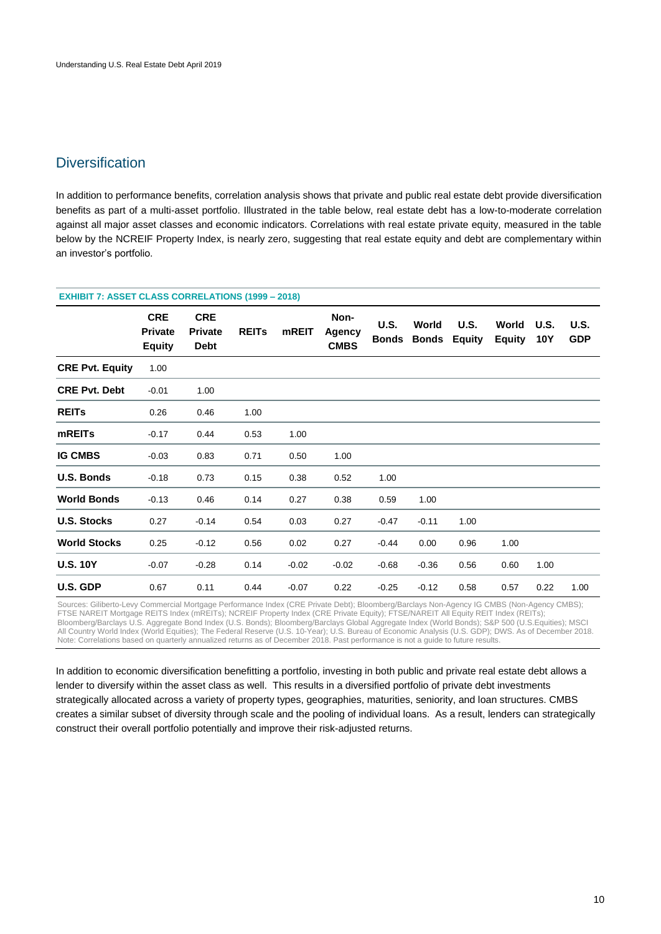## **Diversification**

In addition to performance benefits, correlation analysis shows that private and public real estate debt provide diversification benefits as part of a multi-asset portfolio. Illustrated in the table below, real estate debt has a low-to-moderate correlation against all major asset classes and economic indicators. Correlations with real estate private equity, measured in the table below by the NCREIF Property Index, is nearly zero, suggesting that real estate equity and debt are complementary within an investor's portfolio.

| <b>EXHIBIT 7: ASSET CLASS CORRELATIONS (1999 - 2018)</b> |                                               |                                             |              |              |                                      |                             |                       |                              |                        |             |                    |
|----------------------------------------------------------|-----------------------------------------------|---------------------------------------------|--------------|--------------|--------------------------------------|-----------------------------|-----------------------|------------------------------|------------------------|-------------|--------------------|
|                                                          | <b>CRE</b><br><b>Private</b><br><b>Equity</b> | <b>CRE</b><br><b>Private</b><br><b>Debt</b> | <b>REITS</b> | <b>mREIT</b> | Non-<br><b>Agency</b><br><b>CMBS</b> | <b>U.S.</b><br><b>Bonds</b> | World<br><b>Bonds</b> | <b>U.S.</b><br><b>Equity</b> | World<br><b>Equity</b> | U.S.<br>10Y | U.S.<br><b>GDP</b> |
| <b>CRE Pvt. Equity</b>                                   | 1.00                                          |                                             |              |              |                                      |                             |                       |                              |                        |             |                    |
| <b>CRE Pvt. Debt</b>                                     | $-0.01$                                       | 1.00                                        |              |              |                                      |                             |                       |                              |                        |             |                    |
| <b>REITS</b>                                             | 0.26                                          | 0.46                                        | 1.00         |              |                                      |                             |                       |                              |                        |             |                    |
| mREITs                                                   | $-0.17$                                       | 0.44                                        | 0.53         | 1.00         |                                      |                             |                       |                              |                        |             |                    |
| <b>IG CMBS</b>                                           | $-0.03$                                       | 0.83                                        | 0.71         | 0.50         | 1.00                                 |                             |                       |                              |                        |             |                    |
| <b>U.S. Bonds</b>                                        | $-0.18$                                       | 0.73                                        | 0.15         | 0.38         | 0.52                                 | 1.00                        |                       |                              |                        |             |                    |
| <b>World Bonds</b>                                       | $-0.13$                                       | 0.46                                        | 0.14         | 0.27         | 0.38                                 | 0.59                        | 1.00                  |                              |                        |             |                    |
| <b>U.S. Stocks</b>                                       | 0.27                                          | $-0.14$                                     | 0.54         | 0.03         | 0.27                                 | $-0.47$                     | $-0.11$               | 1.00                         |                        |             |                    |
| <b>World Stocks</b>                                      | 0.25                                          | $-0.12$                                     | 0.56         | 0.02         | 0.27                                 | $-0.44$                     | 0.00                  | 0.96                         | 1.00                   |             |                    |
| <b>U.S. 10Y</b>                                          | $-0.07$                                       | $-0.28$                                     | 0.14         | $-0.02$      | $-0.02$                              | $-0.68$                     | $-0.36$               | 0.56                         | 0.60                   | 1.00        |                    |
| U.S. GDP                                                 | 0.67                                          | 0.11                                        | 0.44         | $-0.07$      | 0.22                                 | $-0.25$                     | $-0.12$               | 0.58                         | 0.57                   | 0.22        | 1.00               |

Sources: Giliberto-Levy Commercial Mortgage Performance Index (CRE Private Debt); Bloomberg/Barclays Non-Agency IG CMBS (Non-Agency CMBS); FTSE NAREIT Mortgage REITS Index (mREITs); NCREIF Property Index (CRE Private Equity); FTSE/NAREIT All Equity REIT Index (REITs); Bloomberg/Barclays U.S. Aggregate Bond Index (U.S. Bonds); Bloomberg/Barclays Global Aggregate Index (World Bonds); S&P 500 (U.S.Equities); MSCI All Country World Index (World Equities); The Federal Reserve (U.S. 10-Year); U.S. Bureau of Economic Analysis (U.S. GDP); DWS. As of December 2018. Note: Correlations based on quarterly annualized returns as of December 2018. Past performance is not a guide to future results.

In addition to economic diversification benefitting a portfolio, investing in both public and private real estate debt allows a lender to diversify within the asset class as well. This results in a diversified portfolio of private debt investments strategically allocated across a variety of property types, geographies, maturities, seniority, and loan structures. CMBS creates a similar subset of diversity through scale and the pooling of individual loans. As a result, lenders can strategically construct their overall portfolio potentially and improve their risk-adjusted returns.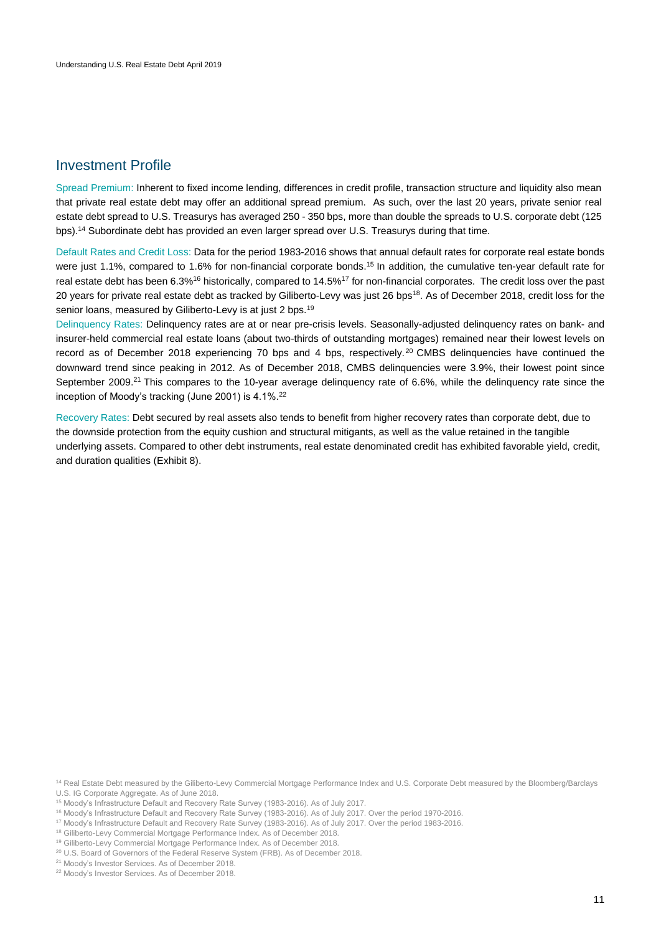## <span id="page-10-0"></span>Investment Profile

Spread Premium: Inherent to fixed income lending, differences in credit profile, transaction structure and liquidity also mean that private real estate debt may offer an additional spread premium. As such, over the last 20 years, private senior real estate debt spread to U.S. Treasurys has averaged 250 - 350 bps, more than double the spreads to U.S. corporate debt (125 bps).<sup>14</sup> Subordinate debt has provided an even larger spread over U.S. Treasurys during that time.

Default Rates and Credit Loss: Data for the period 1983-2016 shows that annual default rates for corporate real estate bonds were just 1.1%, compared to 1.6% for non-financial corporate bonds.<sup>15</sup> In addition, the cumulative ten-year default rate for real estate debt has been 6.3%<sup>16</sup> historically, compared to 14.5%<sup>17</sup> for non-financial corporates. The credit loss over the past 20 years for private real estate debt as tracked by Giliberto-Levy was just 26 bps<sup>18</sup>. As of December 2018, credit loss for the senior loans, measured by Giliberto-Levy is at just 2 bps.<sup>19</sup>

Delinquency Rates: Delinquency rates are at or near pre-crisis levels. Seasonally-adjusted delinquency rates on bank- and insurer-held commercial real estate loans (about two-thirds of outstanding mortgages) remained near their lowest levels on record as of December 2018 experiencing 70 bps and 4 bps, respectively.<sup>20</sup> CMBS delinquencies have continued the downward trend since peaking in 2012. As of December 2018, CMBS delinquencies were 3.9%, their lowest point since September 2009.<sup>21</sup> This compares to the 10-year average delinquency rate of 6.6%, while the delinquency rate since the inception of Moody's tracking (June 2001) is 4.1%.<sup>22</sup>

Recovery Rates: Debt secured by real assets also tends to benefit from higher recovery rates than corporate debt, due to the downside protection from the equity cushion and structural mitigants, as well as the value retained in the tangible underlying assets. Compared to other debt instruments, real estate denominated credit has exhibited favorable yield, credit, and duration qualities (Exhibit 8).

<sup>14</sup> Real Estate Debt measured by the Giliberto-Levy Commercial Mortgage Performance Index and U.S. Corporate Debt measured by the Bloomberg/Barclays U.S. IG Corporate Aggregate. As of June 2018.

<sup>15</sup> Moody's Infrastructure Default and Recovery Rate Survey (1983-2016). As of July 2017.

<sup>16</sup> Moody's Infrastructure Default and Recovery Rate Survey (1983-2016). As of July 2017. Over the period 1970-2016.

<sup>17</sup> Moody's Infrastructure Default and Recovery Rate Survey (1983-2016). As of July 2017. Over the period 1983-2016.

<sup>&</sup>lt;sup>18</sup> Giliberto-Levy Commercial Mortgage Performance Index. As of December 2018.

<sup>19</sup> Giliberto-Levy Commercial Mortgage Performance Index. As of December 2018.

<sup>&</sup>lt;sup>20</sup> U.S. Board of Governors of the Federal Reserve System (FRB). As of December 2018.

<sup>&</sup>lt;sup>21</sup> Moody's Investor Services. As of December 2018.

<sup>22</sup> Moody's Investor Services. As of December 2018.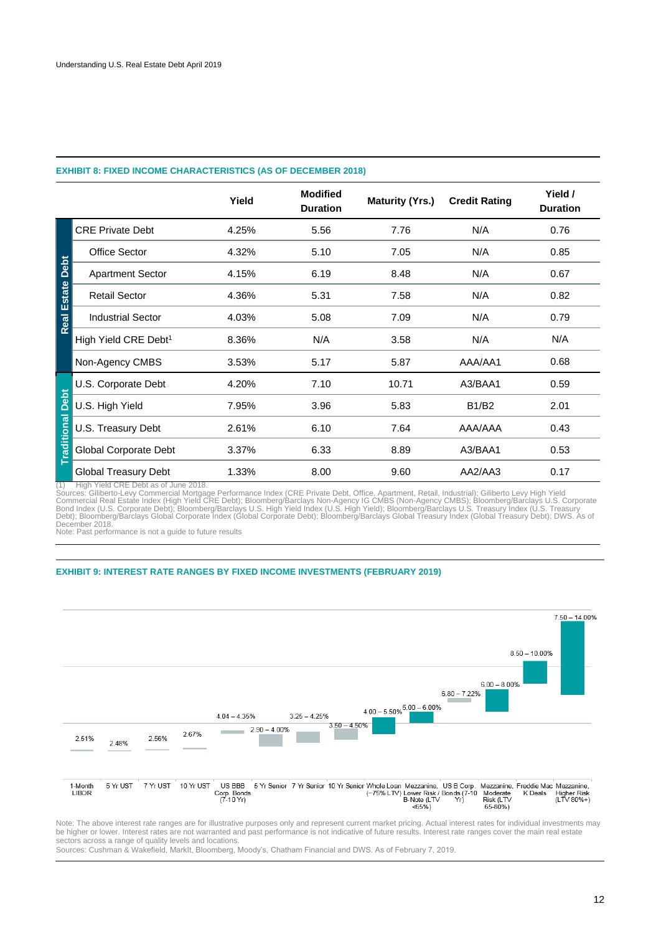### **EXHIBIT 8: FIXED INCOME CHARACTERISTICS (AS OF DECEMBER 2018)**

|                         |                                  | Yield | <b>Modified</b><br><b>Duration</b> | <b>Maturity (Yrs.)</b> | <b>Credit Rating</b> | Yield /<br><b>Duration</b> |
|-------------------------|----------------------------------|-------|------------------------------------|------------------------|----------------------|----------------------------|
|                         | <b>CRE Private Debt</b>          | 4.25% | 5.56                               | 7.76                   | N/A                  | 0.76                       |
|                         | <b>Office Sector</b>             | 4.32% | 5.10                               | 7.05                   | N/A                  | 0.85                       |
|                         | <b>Apartment Sector</b>          | 4.15% | 6.19                               | 8.48                   | N/A                  | 0.67                       |
|                         | <b>Retail Sector</b>             | 4.36% | 5.31                               | 7.58                   | N/A                  | 0.82                       |
| <b>Real Estate Debt</b> | <b>Industrial Sector</b>         | 4.03% | 5.08                               | 7.09                   | N/A                  | 0.79                       |
|                         | High Yield CRE Debt <sup>1</sup> | 8.36% | N/A                                | 3.58                   | N/A                  | N/A                        |
|                         | Non-Agency CMBS                  | 3.53% | 5.17                               | 5.87                   | AAA/AA1              | 0.68                       |
|                         | U.S. Corporate Debt              | 4.20% | 7.10                               | 10.71                  | A3/BAA1              | 0.59                       |
| Debt                    | U.S. High Yield                  | 7.95% | 3.96                               | 5.83                   | <b>B1/B2</b>         | 2.01                       |
| <b>Traditional</b>      | U.S. Treasury Debt               | 2.61% | 6.10                               | 7.64                   | AAA/AAA              | 0.43                       |
|                         | Global Corporate Debt            | 3.37% | 6.33                               | 8.89                   | A3/BAA1              | 0.53                       |
|                         | Global Treasury Debt             | 1.33% | 8.00                               | 9.60                   | AA2/AA3              | 0.17                       |

(1) High Yield CRE Debt as of June 2018.<br>Sources: Giliberto-Levy Commercial Mortgage Performance Index (CRE Private Debt, Office, Apartment, Retail, Industrial); Giliberto Levy High Yield<br>Commercial Real Estate Index (High

Note: Past performance is not a guide to future results

#### **EXHIBIT 9: INTEREST RATE RANGES BY FIXED INCOME INVESTMENTS (FEBRUARY 2019)**



Note: The above interest rate ranges are for illustrative purposes only and represent current market pricing. Actual interest rates for individual investments may be higher or lower. Interest rates are not warranted and past performance is not indicative of future results. Interest rate ranges cover the main real estate sectors across a range of quality levels and locations.

Sources: Cushman & Wakefield, MarkIt, Bloomberg, Moody's, Chatham Financial and DWS. As of February 7, 2019.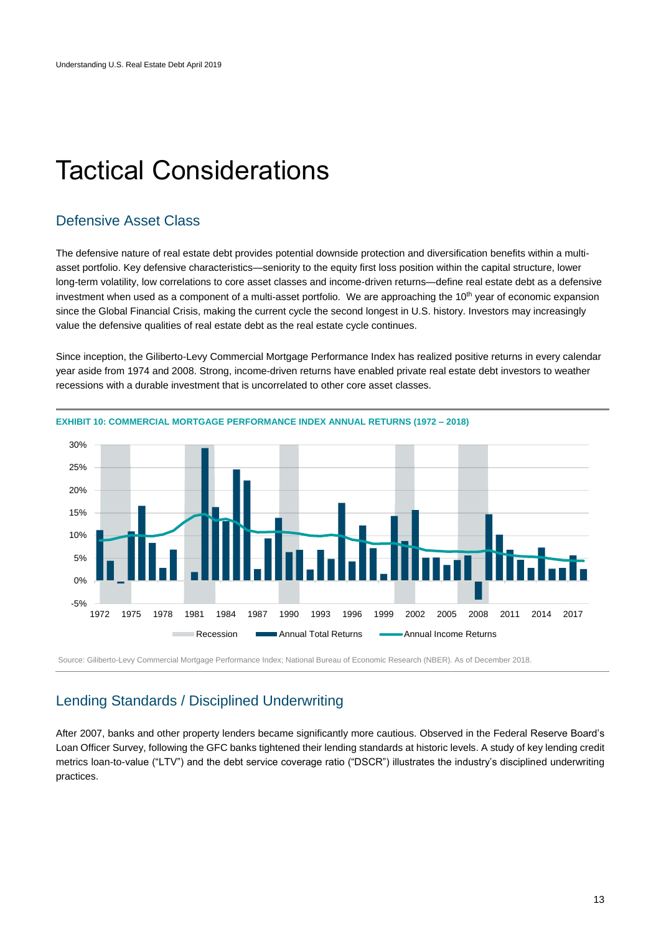## <span id="page-12-0"></span>Tactical Considerations

## <span id="page-12-1"></span>Defensive Asset Class

The defensive nature of real estate debt provides potential downside protection and diversification benefits within a multiasset portfolio. Key defensive characteristics—seniority to the equity first loss position within the capital structure, lower long-term volatility, low correlations to core asset classes and income-driven returns—define real estate debt as a defensive investment when used as a component of a multi-asset portfolio. We are approaching the 10<sup>th</sup> year of economic expansion since the Global Financial Crisis, making the current cycle the second longest in U.S. history. Investors may increasingly value the defensive qualities of real estate debt as the real estate cycle continues.

Since inception, the Giliberto-Levy Commercial Mortgage Performance Index has realized positive returns in every calendar



year aside from 1974 and 2008. Strong, income-driven returns have enabled private real estate debt investors to weather recessions with a durable investment that is uncorrelated to other core asset classes.

<span id="page-12-2"></span>Source: Giliberto-Levy Commercial Mortgage Performance Index; National Bureau of Economic Research (NBER). As of December 2018.

## Lending Standards / Disciplined Underwriting

After 2007, banks and other property lenders became significantly more cautious. Observed in the Federal Reserve Board's Loan Officer Survey, following the GFC banks tightened their lending standards at historic levels. A study of key lending credit metrics loan-to-value ("LTV") and the debt service coverage ratio ("DSCR") illustrates the industry's disciplined underwriting practices.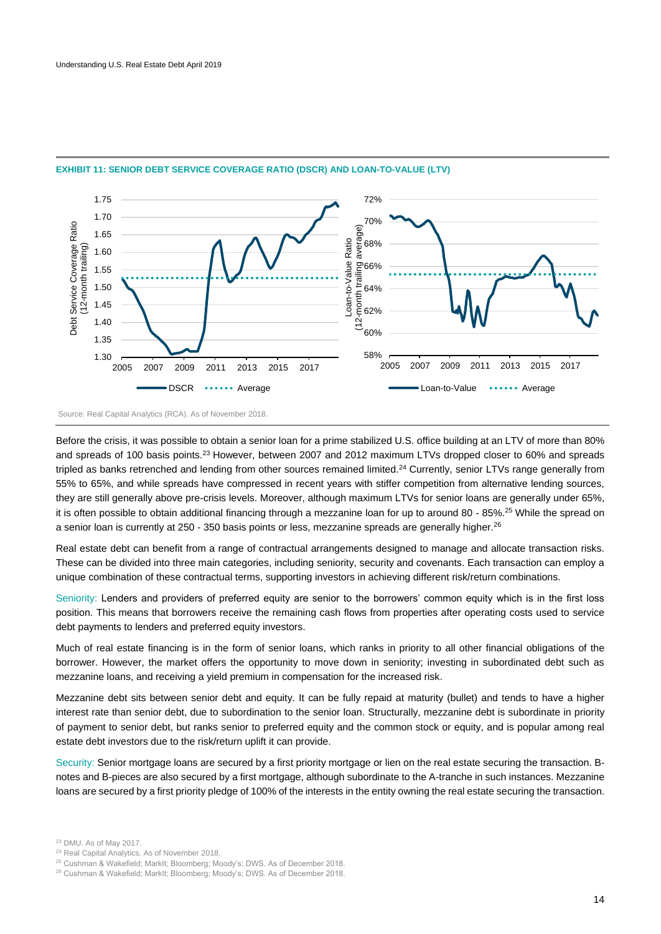

#### **EXHIBIT 11: SENIOR DEBT SERVICE COVERAGE RATIO (DSCR) AND LOAN-TO-VALUE (LTV)**

Before the crisis, it was possible to obtain a senior loan for a prime stabilized U.S. office building at an LTV of more than 80% and spreads of 100 basis points.<sup>23</sup> However, between 2007 and 2012 maximum LTVs dropped closer to 60% and spreads tripled as banks retrenched and lending from other sources remained limited.<sup>24</sup> Currently, senior LTVs range generally from 55% to 65%, and while spreads have compressed in recent years with stiffer competition from alternative lending sources, they are still generally above pre-crisis levels. Moreover, although maximum LTVs for senior loans are generally under 65%, it is often possible to obtain additional financing through a mezzanine loan for up to around 80 - 85%.<sup>25</sup> While the spread on a senior loan is currently at 250 - 350 basis points or less, mezzanine spreads are generally higher.<sup>26</sup>

Real estate debt can benefit from a range of contractual arrangements designed to manage and allocate transaction risks. These can be divided into three main categories, including seniority, security and covenants. Each transaction can employ a unique combination of these contractual terms, supporting investors in achieving different risk/return combinations.

Seniority: Lenders and providers of preferred equity are senior to the borrowers' common equity which is in the first loss position. This means that borrowers receive the remaining cash flows from properties after operating costs used to service debt payments to lenders and preferred equity investors.

Much of real estate financing is in the form of senior loans, which ranks in priority to all other financial obligations of the borrower. However, the market offers the opportunity to move down in seniority; investing in subordinated debt such as mezzanine loans, and receiving a yield premium in compensation for the increased risk.

Mezzanine debt sits between senior debt and equity. It can be fully repaid at maturity (bullet) and tends to have a higher interest rate than senior debt, due to subordination to the senior loan. Structurally, mezzanine debt is subordinate in priority of payment to senior debt, but ranks senior to preferred equity and the common stock or equity, and is popular among real estate debt investors due to the risk/return uplift it can provide.

Security: Senior mortgage loans are secured by a first priority mortgage or lien on the real estate securing the transaction. Bnotes and B-pieces are also secured by a first mortgage, although subordinate to the A-tranche in such instances. Mezzanine loans are secured by a first priority pledge of 100% of the interests in the entity owning the real estate securing the transaction.

Source: Real Capital Analytics (RCA). As of November 2018.

<sup>23</sup> DMU. As of May 2017.

<sup>24</sup> Real Capital Analytics. As of November 2018.

<sup>25</sup> Cushman & Wakefield; MarkIt; Bloomberg; Moody's; DWS. As of December 2018.

<sup>26</sup> Cushman & Wakefield; MarkIt; Bloomberg; Moody's; DWS. As of December 2018.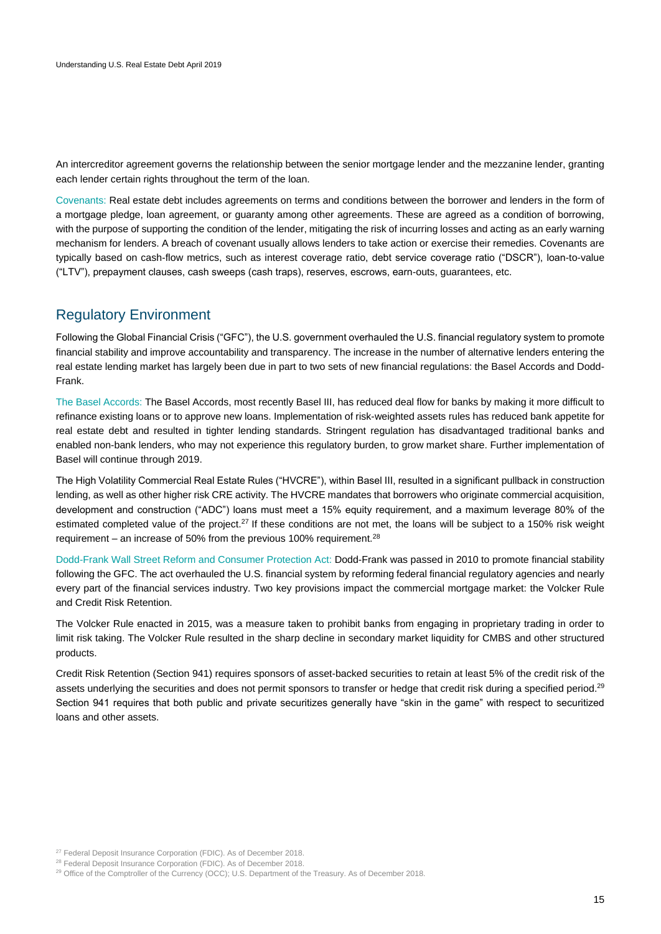An intercreditor agreement governs the relationship between the senior mortgage lender and the mezzanine lender, granting each lender certain rights throughout the term of the loan.

Covenants: Real estate debt includes agreements on terms and conditions between the borrower and lenders in the form of a mortgage pledge, loan agreement, or guaranty among other agreements. These are agreed as a condition of borrowing, with the purpose of supporting the condition of the lender, mitigating the risk of incurring losses and acting as an early warning mechanism for lenders. A breach of covenant usually allows lenders to take action or exercise their remedies. Covenants are typically based on cash-flow metrics, such as interest coverage ratio, debt service coverage ratio ("DSCR"), loan-to-value ("LTV"), prepayment clauses, cash sweeps (cash traps), reserves, escrows, earn-outs, guarantees, etc.

## <span id="page-14-0"></span>Regulatory Environment

Following the Global Financial Crisis ("GFC"), the U.S. government overhauled the U.S. financial regulatory system to promote financial stability and improve accountability and transparency. The increase in the number of alternative lenders entering the real estate lending market has largely been due in part to two sets of new financial regulations: the Basel Accords and Dodd-Frank.

The Basel Accords: The Basel Accords, most recently Basel III, has reduced deal flow for banks by making it more difficult to refinance existing loans or to approve new loans. Implementation of risk-weighted assets rules has reduced bank appetite for real estate debt and resulted in tighter lending standards. Stringent regulation has disadvantaged traditional banks and enabled non-bank lenders, who may not experience this regulatory burden, to grow market share. Further implementation of Basel will continue through 2019.

The High Volatility Commercial Real Estate Rules ("HVCRE"), within Basel III, resulted in a significant pullback in construction lending, as well as other higher risk CRE activity. The HVCRE mandates that borrowers who originate commercial acquisition, development and construction ("ADC") loans must meet a 15% equity requirement, and a maximum leverage 80% of the estimated completed value of the project.<sup>27</sup> If these conditions are not met, the loans will be subject to a 150% risk weight requirement – an increase of 50% from the previous 100% requirement.<sup>28</sup>

Dodd-Frank Wall Street Reform and Consumer Protection Act: Dodd-Frank was passed in 2010 to promote financial stability following the GFC. The act overhauled the U.S. financial system by reforming federal financial regulatory agencies and nearly every part of the financial services industry. Two key provisions impact the commercial mortgage market: the Volcker Rule and Credit Risk Retention.

The Volcker Rule enacted in 2015, was a measure taken to prohibit banks from engaging in proprietary trading in order to limit risk taking. The Volcker Rule resulted in the sharp decline in secondary market liquidity for CMBS and other structured products.

Credit Risk Retention (Section 941) requires sponsors of asset-backed securities to retain at least 5% of the credit risk of the assets underlying the securities and does not permit sponsors to transfer or hedge that credit risk during a specified period.<sup>29</sup> Section 941 requires that both public and private securitizes generally have "skin in the game" with respect to securitized loans and other assets.

<sup>&</sup>lt;sup>27</sup> Federal Deposit Insurance Corporation (FDIC). As of December 2018.

<sup>&</sup>lt;sup>28</sup> Federal Deposit Insurance Corporation (FDIC). As of December 2018.

<sup>&</sup>lt;sup>29</sup> Office of the Comptroller of the Currency (OCC); U.S. Department of the Treasury. As of December 2018.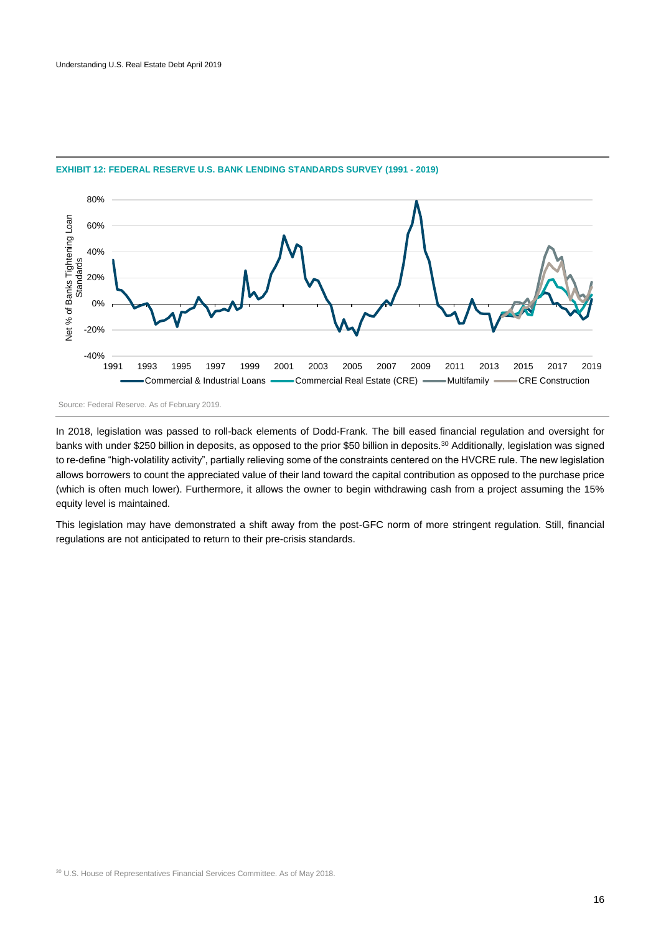

### **EXHIBIT 12: FEDERAL RESERVE U.S. BANK LENDING STANDARDS SURVEY (1991 - 2019)**

Source: Federal Reserve. As of February 2019.

In 2018, legislation was passed to roll-back elements of Dodd-Frank. The bill eased financial regulation and oversight for banks with under \$250 billion in deposits, as opposed to the prior \$50 billion in deposits.<sup>30</sup> Additionally, legislation was signed to re-define "high-volatility activity", partially relieving some of the constraints centered on the HVCRE rule. The new legislation allows borrowers to count the appreciated value of their land toward the capital contribution as opposed to the purchase price (which is often much lower). Furthermore, it allows the owner to begin withdrawing cash from a project assuming the 15% equity level is maintained.

This legislation may have demonstrated a shift away from the post-GFC norm of more stringent regulation. Still, financial regulations are not anticipated to return to their pre-crisis standards.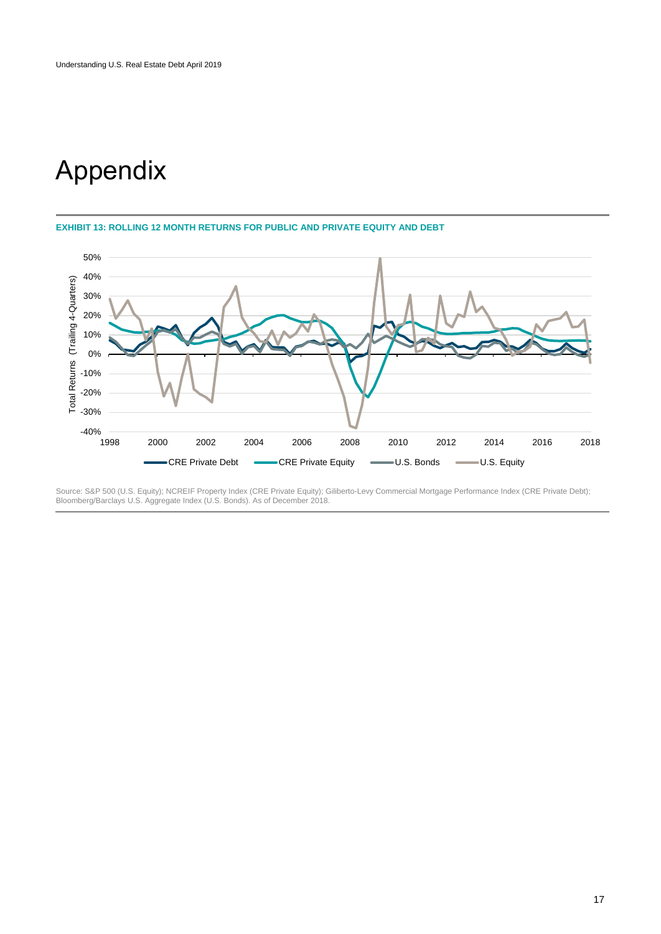# Appendix

**EXHIBIT 13: ROLLING 12 MONTH RETURNS FOR PUBLIC AND PRIVATE EQUITY AND DEBT**



Source: S&P 500 (U.S. Equity); NCREIF Property Index (CRE Private Equity); Giliberto-Levy Commercial Mortgage Performance Index (CRE Private Debt); Bloomberg/Barclays U.S. Aggregate Index (U.S. Bonds). As of December 2018.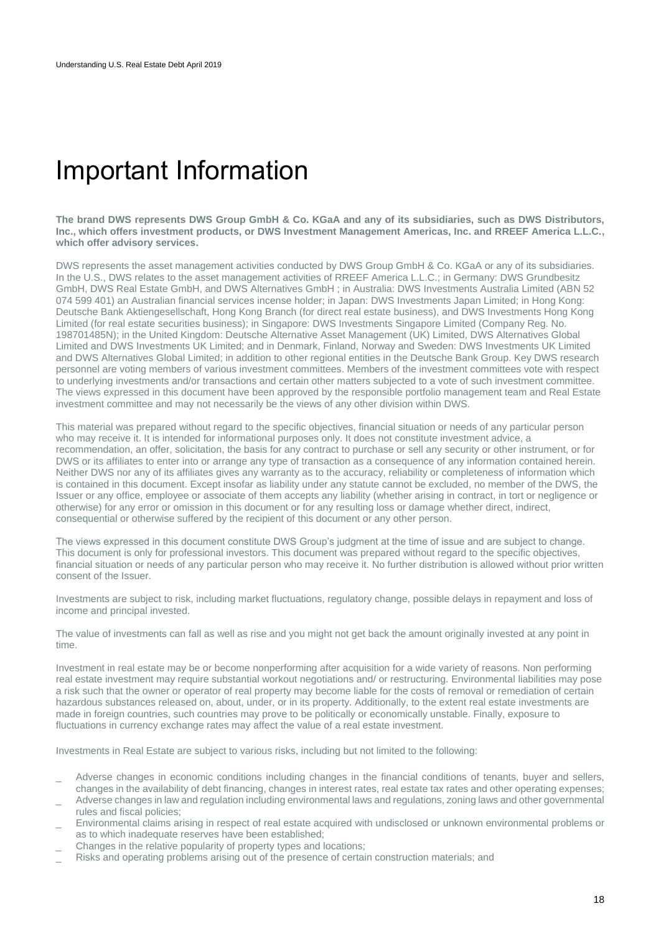## <span id="page-17-0"></span>Important Information

**The brand DWS represents DWS Group GmbH & Co. KGaA and any of its subsidiaries, such as DWS Distributors, Inc., which offers investment products, or DWS Investment Management Americas, Inc. and RREEF America L.L.C., which offer advisory services.** 

DWS represents the asset management activities conducted by DWS Group GmbH & Co. KGaA or any of its subsidiaries. In the U.S., DWS relates to the asset management activities of RREEF America L.L.C.; in Germany: DWS Grundbesitz GmbH, DWS Real Estate GmbH, and DWS Alternatives GmbH ; in Australia: DWS Investments Australia Limited (ABN 52 074 599 401) an Australian financial services incense holder; in Japan: DWS Investments Japan Limited; in Hong Kong: Deutsche Bank Aktiengesellschaft, Hong Kong Branch (for direct real estate business), and DWS Investments Hong Kong Limited (for real estate securities business); in Singapore: DWS Investments Singapore Limited (Company Reg. No. 198701485N); in the United Kingdom: Deutsche Alternative Asset Management (UK) Limited, DWS Alternatives Global Limited and DWS Investments UK Limited; and in Denmark, Finland, Norway and Sweden: DWS Investments UK Limited and DWS Alternatives Global Limited; in addition to other regional entities in the Deutsche Bank Group. Key DWS research personnel are voting members of various investment committees. Members of the investment committees vote with respect to underlying investments and/or transactions and certain other matters subjected to a vote of such investment committee. The views expressed in this document have been approved by the responsible portfolio management team and Real Estate investment committee and may not necessarily be the views of any other division within DWS.

This material was prepared without regard to the specific objectives, financial situation or needs of any particular person who may receive it. It is intended for informational purposes only. It does not constitute investment advice, a recommendation, an offer, solicitation, the basis for any contract to purchase or sell any security or other instrument, or for DWS or its affiliates to enter into or arrange any type of transaction as a consequence of any information contained herein. Neither DWS nor any of its affiliates gives any warranty as to the accuracy, reliability or completeness of information which is contained in this document. Except insofar as liability under any statute cannot be excluded, no member of the DWS, the Issuer or any office, employee or associate of them accepts any liability (whether arising in contract, in tort or negligence or otherwise) for any error or omission in this document or for any resulting loss or damage whether direct, indirect, consequential or otherwise suffered by the recipient of this document or any other person.

The views expressed in this document constitute DWS Group's judgment at the time of issue and are subject to change. This document is only for professional investors. This document was prepared without regard to the specific objectives, financial situation or needs of any particular person who may receive it. No further distribution is allowed without prior written consent of the Issuer.

Investments are subject to risk, including market fluctuations, regulatory change, possible delays in repayment and loss of income and principal invested.

The value of investments can fall as well as rise and you might not get back the amount originally invested at any point in time.

Investment in real estate may be or become nonperforming after acquisition for a wide variety of reasons. Non performing real estate investment may require substantial workout negotiations and/ or restructuring. Environmental liabilities may pose a risk such that the owner or operator of real property may become liable for the costs of removal or remediation of certain hazardous substances released on, about, under, or in its property. Additionally, to the extent real estate investments are made in foreign countries, such countries may prove to be politically or economically unstable. Finally, exposure to fluctuations in currency exchange rates may affect the value of a real estate investment.

Investments in Real Estate are subject to various risks, including but not limited to the following:

- Adverse changes in economic conditions including changes in the financial conditions of tenants, buyer and sellers, changes in the availability of debt financing, changes in interest rates, real estate tax rates and other operating expenses;
- Adverse changes in law and regulation including environmental laws and regulations, zoning laws and other governmental rules and fiscal policies;
- Environmental claims arising in respect of real estate acquired with undisclosed or unknown environmental problems or as to which inadequate reserves have been established;
- Changes in the relative popularity of property types and locations;
- Risks and operating problems arising out of the presence of certain construction materials; and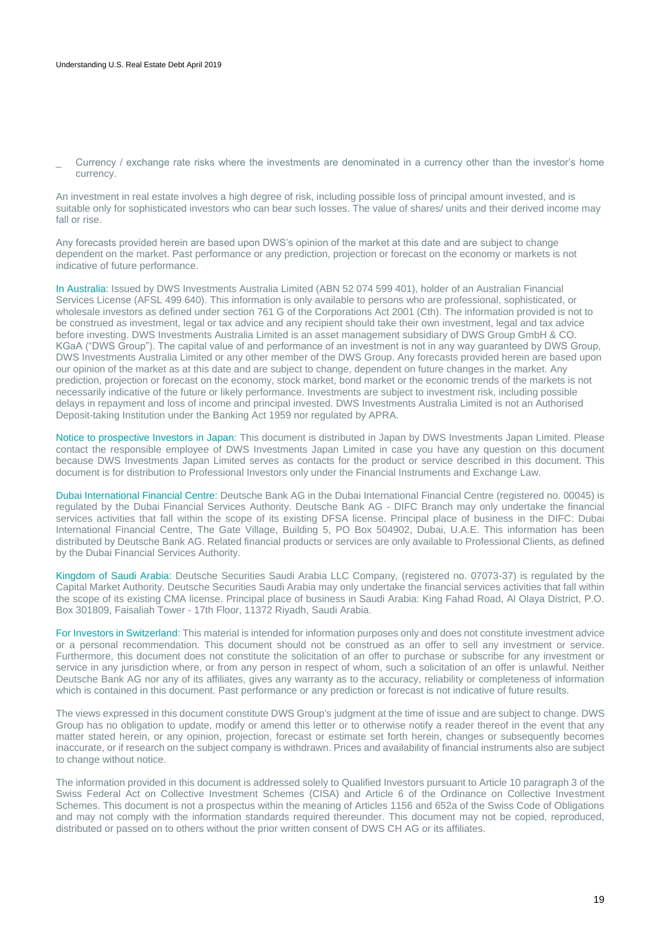\_ Currency / exchange rate risks where the investments are denominated in a currency other than the investor's home currency.

An investment in real estate involves a high degree of risk, including possible loss of principal amount invested, and is suitable only for sophisticated investors who can bear such losses. The value of shares/ units and their derived income may fall or rise.

Any forecasts provided herein are based upon DWS's opinion of the market at this date and are subject to change dependent on the market. Past performance or any prediction, projection or forecast on the economy or markets is not indicative of future performance.

In Australia: Issued by DWS Investments Australia Limited (ABN 52 074 599 401), holder of an Australian Financial Services License (AFSL 499 640). This information is only available to persons who are professional, sophisticated, or wholesale investors as defined under section 761 G of the Corporations Act 2001 (Cth). The information provided is not to be construed as investment, legal or tax advice and any recipient should take their own investment, legal and tax advice before investing. DWS Investments Australia Limited is an asset management subsidiary of DWS Group GmbH & CO. KGaA ("DWS Group"). The capital value of and performance of an investment is not in any way guaranteed by DWS Group, DWS Investments Australia Limited or any other member of the DWS Group. Any forecasts provided herein are based upon our opinion of the market as at this date and are subject to change, dependent on future changes in the market. Any prediction, projection or forecast on the economy, stock market, bond market or the economic trends of the markets is not necessarily indicative of the future or likely performance. Investments are subject to investment risk, including possible delays in repayment and loss of income and principal invested. DWS Investments Australia Limited is not an Authorised Deposit-taking Institution under the Banking Act 1959 nor regulated by APRA.

Notice to prospective Investors in Japan: This document is distributed in Japan by DWS Investments Japan Limited. Please contact the responsible employee of DWS Investments Japan Limited in case you have any question on this document because DWS Investments Japan Limited serves as contacts for the product or service described in this document. This document is for distribution to Professional Investors only under the Financial Instruments and Exchange Law.

Dubai International Financial Centre: Deutsche Bank AG in the Dubai International Financial Centre (registered no. 00045) is regulated by the Dubai Financial Services Authority. Deutsche Bank AG - DIFC Branch may only undertake the financial services activities that fall within the scope of its existing DFSA license. Principal place of business in the DIFC: Dubai International Financial Centre, The Gate Village, Building 5, PO Box 504902, Dubai, U.A.E. This information has been distributed by Deutsche Bank AG. Related financial products or services are only available to Professional Clients, as defined by the Dubai Financial Services Authority.

Kingdom of Saudi Arabia: Deutsche Securities Saudi Arabia LLC Company, (registered no. 07073-37) is regulated by the Capital Market Authority. Deutsche Securities Saudi Arabia may only undertake the financial services activities that fall within the scope of its existing CMA license. Principal place of business in Saudi Arabia: King Fahad Road, Al Olaya District, P.O. Box 301809, Faisaliah Tower - 17th Floor, 11372 Riyadh, Saudi Arabia.

For Investors in Switzerland: This material is intended for information purposes only and does not constitute investment advice or a personal recommendation. This document should not be construed as an offer to sell any investment or service. Furthermore, this document does not constitute the solicitation of an offer to purchase or subscribe for any investment or service in any jurisdiction where, or from any person in respect of whom, such a solicitation of an offer is unlawful. Neither Deutsche Bank AG nor any of its affiliates, gives any warranty as to the accuracy, reliability or completeness of information which is contained in this document. Past performance or any prediction or forecast is not indicative of future results.

The views expressed in this document constitute DWS Group's judgment at the time of issue and are subject to change. DWS Group has no obligation to update, modify or amend this letter or to otherwise notify a reader thereof in the event that any matter stated herein, or any opinion, projection, forecast or estimate set forth herein, changes or subsequently becomes inaccurate, or if research on the subject company is withdrawn. Prices and availability of financial instruments also are subject to change without notice.

The information provided in this document is addressed solely to Qualified Investors pursuant to Article 10 paragraph 3 of the Swiss Federal Act on Collective Investment Schemes (CISA) and Article 6 of the Ordinance on Collective Investment Schemes. This document is not a prospectus within the meaning of Articles 1156 and 652a of the Swiss Code of Obligations and may not comply with the information standards required thereunder. This document may not be copied, reproduced, distributed or passed on to others without the prior written consent of DWS CH AG or its affiliates.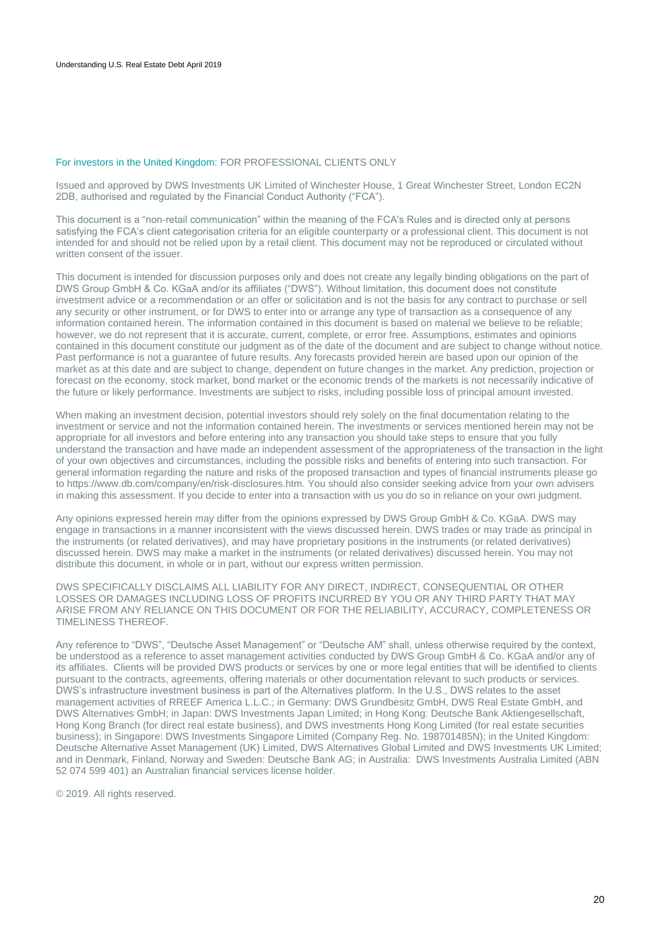### For investors in the United Kingdom: FOR PROFESSIONAL CLIENTS ONLY

Issued and approved by DWS Investments UK Limited of Winchester House, 1 Great Winchester Street, London EC2N 2DB, authorised and regulated by the Financial Conduct Authority ("FCA").

This document is a "non-retail communication" within the meaning of the FCA's Rules and is directed only at persons satisfying the FCA's client categorisation criteria for an eligible counterparty or a professional client. This document is not intended for and should not be relied upon by a retail client. This document may not be reproduced or circulated without written consent of the issuer.

This document is intended for discussion purposes only and does not create any legally binding obligations on the part of DWS Group GmbH & Co. KGaA and/or its affiliates ("DWS"). Without limitation, this document does not constitute investment advice or a recommendation or an offer or solicitation and is not the basis for any contract to purchase or sell any security or other instrument, or for DWS to enter into or arrange any type of transaction as a consequence of any information contained herein. The information contained in this document is based on material we believe to be reliable; however, we do not represent that it is accurate, current, complete, or error free. Assumptions, estimates and opinions contained in this document constitute our judgment as of the date of the document and are subject to change without notice. Past performance is not a guarantee of future results. Any forecasts provided herein are based upon our opinion of the market as at this date and are subject to change, dependent on future changes in the market. Any prediction, projection or forecast on the economy, stock market, bond market or the economic trends of the markets is not necessarily indicative of the future or likely performance. Investments are subject to risks, including possible loss of principal amount invested.

When making an investment decision, potential investors should rely solely on the final documentation relating to the investment or service and not the information contained herein. The investments or services mentioned herein may not be appropriate for all investors and before entering into any transaction you should take steps to ensure that you fully understand the transaction and have made an independent assessment of the appropriateness of the transaction in the light of your own objectives and circumstances, including the possible risks and benefits of entering into such transaction. For general information regarding the nature and risks of the proposed transaction and types of financial instruments please go to https://www.db.com/company/en/risk-disclosures.htm. You should also consider seeking advice from your own advisers in making this assessment. If you decide to enter into a transaction with us you do so in reliance on your own judgment.

Any opinions expressed herein may differ from the opinions expressed by DWS Group GmbH & Co. KGaA. DWS may engage in transactions in a manner inconsistent with the views discussed herein. DWS trades or may trade as principal in the instruments (or related derivatives), and may have proprietary positions in the instruments (or related derivatives) discussed herein. DWS may make a market in the instruments (or related derivatives) discussed herein. You may not distribute this document, in whole or in part, without our express written permission.

DWS SPECIFICALLY DISCLAIMS ALL LIABILITY FOR ANY DIRECT, INDIRECT, CONSEQUENTIAL OR OTHER LOSSES OR DAMAGES INCLUDING LOSS OF PROFITS INCURRED BY YOU OR ANY THIRD PARTY THAT MAY ARISE FROM ANY RELIANCE ON THIS DOCUMENT OR FOR THE RELIABILITY, ACCURACY, COMPLETENESS OR TIMELINESS THEREOF.

Any reference to "DWS", "Deutsche Asset Management" or "Deutsche AM" shall, unless otherwise required by the context, be understood as a reference to asset management activities conducted by DWS Group GmbH & Co. KGaA and/or any of its affiliates. Clients will be provided DWS products or services by one or more legal entities that will be identified to clients pursuant to the contracts, agreements, offering materials or other documentation relevant to such products or services. DWS's infrastructure investment business is part of the Alternatives platform. In the U.S., DWS relates to the asset management activities of RREEF America L.L.C.; in Germany: DWS Grundbesitz GmbH, DWS Real Estate GmbH, and DWS Alternatives GmbH; in Japan: DWS Investments Japan Limited; in Hong Kong: Deutsche Bank Aktiengesellschaft, Hong Kong Branch (for direct real estate business), and DWS investments Hong Kong Limited (for real estate securities business); in Singapore: DWS Investments Singapore Limited (Company Reg. No. 198701485N); in the United Kingdom: Deutsche Alternative Asset Management (UK) Limited, DWS Alternatives Global Limited and DWS Investments UK Limited; and in Denmark, Finland, Norway and Sweden: Deutsche Bank AG; in Australia: DWS Investments Australia Limited (ABN 52 074 599 401) an Australian financial services license holder.

© 2019. All rights reserved.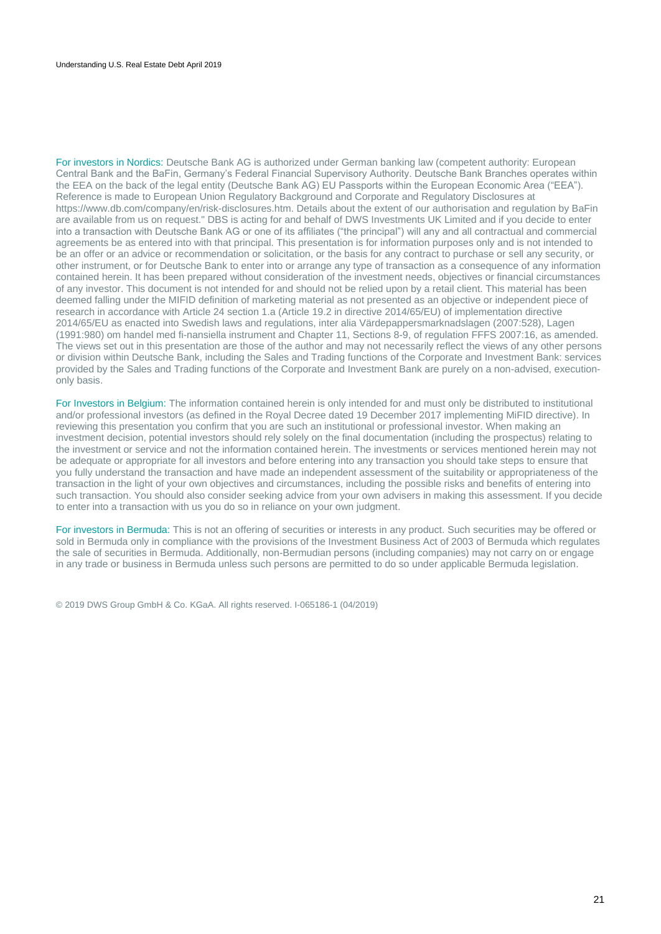For investors in Nordics: Deutsche Bank AG is authorized under German banking law (competent authority: European Central Bank and the BaFin, Germany's Federal Financial Supervisory Authority. Deutsche Bank Branches operates within the EEA on the back of the legal entity (Deutsche Bank AG) EU Passports within the European Economic Area ("EEA"). Reference is made to European Union Regulatory Background and Corporate and Regulatory Disclosures at https://www.db.com/company/en/risk-disclosures.htm. Details about the extent of our authorisation and regulation by BaFin are available from us on request." DBS is acting for and behalf of DWS Investments UK Limited and if you decide to enter into a transaction with Deutsche Bank AG or one of its affiliates ("the principal") will any and all contractual and commercial agreements be as entered into with that principal. This presentation is for information purposes only and is not intended to be an offer or an advice or recommendation or solicitation, or the basis for any contract to purchase or sell any security, or other instrument, or for Deutsche Bank to enter into or arrange any type of transaction as a consequence of any information contained herein. It has been prepared without consideration of the investment needs, objectives or financial circumstances of any investor. This document is not intended for and should not be relied upon by a retail client. This material has been deemed falling under the MIFID definition of marketing material as not presented as an objective or independent piece of research in accordance with Article 24 section 1.a (Article 19.2 in directive 2014/65/EU) of implementation directive 2014/65/EU as enacted into Swedish laws and regulations, inter alia Värdepappersmarknadslagen (2007:528), Lagen (1991:980) om handel med fi-nansiella instrument and Chapter 11, Sections 8-9, of regulation FFFS 2007:16, as amended. The views set out in this presentation are those of the author and may not necessarily reflect the views of any other persons or division within Deutsche Bank, including the Sales and Trading functions of the Corporate and Investment Bank: services provided by the Sales and Trading functions of the Corporate and Investment Bank are purely on a non-advised, executiononly basis.

For Investors in Belgium: The information contained herein is only intended for and must only be distributed to institutional and/or professional investors (as defined in the Royal Decree dated 19 December 2017 implementing MiFID directive). In reviewing this presentation you confirm that you are such an institutional or professional investor. When making an investment decision, potential investors should rely solely on the final documentation (including the prospectus) relating to the investment or service and not the information contained herein. The investments or services mentioned herein may not be adequate or appropriate for all investors and before entering into any transaction you should take steps to ensure that you fully understand the transaction and have made an independent assessment of the suitability or appropriateness of the transaction in the light of your own objectives and circumstances, including the possible risks and benefits of entering into such transaction. You should also consider seeking advice from your own advisers in making this assessment. If you decide to enter into a transaction with us you do so in reliance on your own judgment.

For investors in Bermuda: This is not an offering of securities or interests in any product. Such securities may be offered or sold in Bermuda only in compliance with the provisions of the Investment Business Act of 2003 of Bermuda which regulates the sale of securities in Bermuda. Additionally, non-Bermudian persons (including companies) may not carry on or engage in any trade or business in Bermuda unless such persons are permitted to do so under applicable Bermuda legislation.

© 2019 DWS Group GmbH & Co. KGaA. All rights reserved. I-065186-1 (04/2019)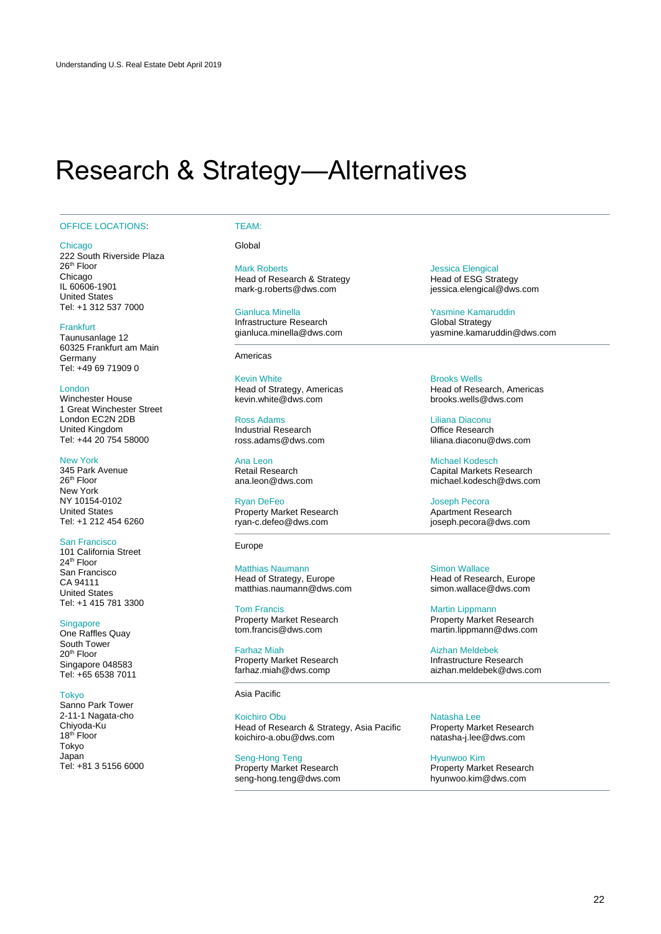## <span id="page-21-0"></span>Research & Strategy—Alternatives

#### OFFICE LOCATIONS: TEAM:

**Chicago** 

222 South Riverside Plaza 26<sup>th</sup> Floor Chicago IL 60606-1901 United States Tel: +1 312 537 7000

#### **Frankfurt**

Taunusanlage 12 60325 Frankfurt am Main **Germany** Tel: +49 69 71909 0

### London

Winchester House 1 Great Winchester Street London EC2N 2DB United Kingdom Tel: +44 20 754 58000

#### New York

345 Park Avenue 26th Floor New York NY 10154-0102 United States Tel: +1 212 454 6260

### San Francisco

101 California Street 24th Floor San Francisco CA 94111 United States Tel: +1 415 781 3300

#### **Singapore**

One Raffles Quay South Tower 20th Floor Singapore 048583 Tel: +65 6538 7011

#### Tokyo

Sanno Park Tower 2-11-1 Nagata-cho Chiyoda-Ku 18<sup>th</sup> Floor Tokyo Japan Tel: +81 3 5156 6000 **Global** 

### Mark Roberts

Head of Research & Strategy mark-g.roberts@dws.com

#### Gianluca Minella

Infrastructure Research gianluca.minella@dws.com

#### Americas

Kevin White Head of Strategy, Americas kevin.white@dws.com

Ross Adams Industrial Research ross.adams@dws.com

Ana Leon Retail Research ana.leon@dws.com

Ryan DeFeo Property Market Research ryan-c.defeo@dws.com

Europe

#### Matthias Naumann Head of Strategy, Europe matthias.naumann@dws.com

Tom Francis Property Market Research tom.francis@dws.com

Farhaz Miah Property Market Research farhaz.miah@dws.comp

Asia Pacific

#### Koichiro Obu Head of Research & Strategy, Asia Pacific koichiro-a.obu@dws.com

Seng-Hong Teng Property Market Research seng-hong.teng@dws.com Jessica Elengical Head of ESG Strategy jessica.elengical@dws.com

Yasmine Kamaruddin Global Strategy yasmine.kamaruddin@dws.com

Brooks Wells Head of Research, Americas brooks.wells@dws.com

Liliana Diaconu Office Research liliana.diaconu@dws.com

Michael Kodesch Capital Markets Research michael.kodesch@dws.com

Joseph Pecora Apartment Research joseph.pecora@dws.com

Simon Wallace Head of Research, Europe simon.wallace@dws.com

Martin Lippmann Property Market Research martin.lippmann@dws.com

Aizhan Meldebek Infrastructure Research aizhan.meldebek@dws.com

Natasha Lee Property Market Research natasha-j.lee@dws.com

Hyunwoo Kim Property Market Research hyunwoo.kim@dws.com